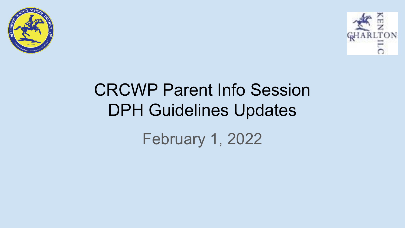



# CRCWP Parent Info Session DPH Guidelines Updates February 1, 2022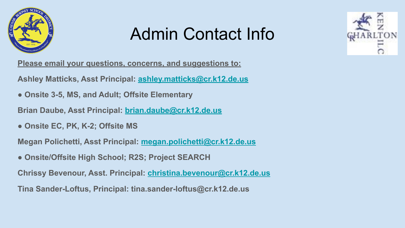

## Admin Contact Info



**Please email your questions, concerns, and suggestions to:**

**Ashley Matticks, Asst Principal: [ashley.matticks@cr.k12.de.us](mailto:ashley.matticks@cr.k12.de.us)**

**● Onsite 3-5, MS, and Adult; Offsite Elementary**

**Brian Daube, Asst Principal: [brian.daube@cr.k12.de.us](mailto:brian.daube@cr.k12.de.us)**

**● Onsite EC, PK, K-2; Offsite MS**

**Megan Polichetti, Asst Principal: [megan.polichetti@cr.k12.de.us](mailto:megan.polichetti@cr.k12.de.us)**

**● Onsite/Offsite High School; R2S; Project SEARCH**

**Chrissy Bevenour, Asst. Principal: [christina.bevenour@cr.k12.de.us](mailto:christina.bevenour@cr.k12.de.us)**

**Tina Sander-Loftus, Principal: tina.sander-loftus@cr.k12.de.us**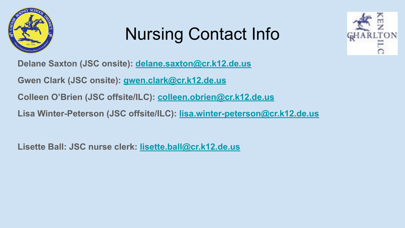

# Nursing Contact Info



- **Delane Saxton (JSC onsite): [delane.saxton@cr.k12.de.us](mailto:delane.saxton@cr.k12.de.us)**
- **Gwen Clark (JSC onsite): [gwen.clark@cr.k12.de.us](mailto:gwen.clark@cr.k12.de.us)**
- **Colleen O'Brien (JSC offsite/ILC): [colleen.obrien@cr.k12.de.us](mailto:colleen.obrien@cr.k12.de.us)**
- **Lisa Winter-Peterson (JSC offsite/ILC): [lisa.winter-peterson@cr.k12.de.us](mailto:lisa.winter-peterson@cr.k12.de.us)**

**Lisette Ball: JSC nurse clerk: [lisette.ball@cr.k12.de.us](mailto:lisette.ball@cr.k12.de.us)**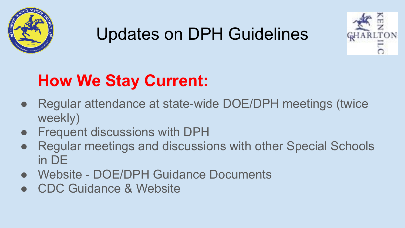

## Updates on DPH Guidelines



## **How We Stay Current:**

- Regular attendance at state-wide DOE/DPH meetings (twice weekly)
- **Frequent discussions with DPH**
- Regular meetings and discussions with other Special Schools in DE
- Website DOE/DPH Guidance Documents
- CDC Guidance & Website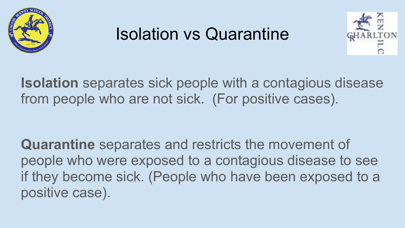

### Isolation vs Quarantine



**Isolation** separates sick people with a contagious disease from people who are not sick. (For positive cases).

**Quarantine** separates and restricts the movement of people who were exposed to a contagious disease to see if they become sick. (People who have been exposed to a positive case).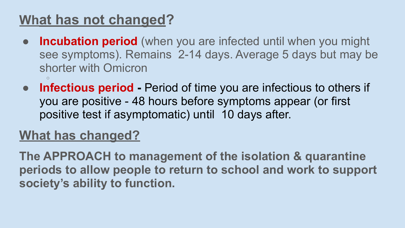### **What has not changed?**

- **Incubation period** (when you are infected until when you might see symptoms). Remains 2-14 days. Average 5 days but may be shorter with Omicron
- **○ • Infectious period -** Period of time you are infectious to others if you are positive - 48 hours before symptoms appear (or first positive test if asymptomatic) until 10 days after.

#### **What has changed?**

**The APPROACH to management of the isolation & quarantine periods to allow people to return to school and work to support society's ability to function.**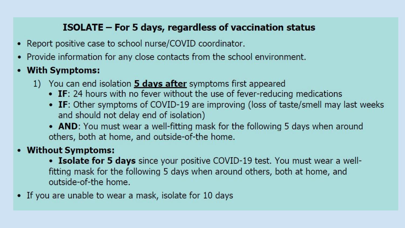#### **ISOLATE – For 5 days, regardless of vaccination status**

- Report positive case to school nurse/COVID coordinator.
- Provide information for any close contacts from the school environment.
- With Symptoms:
	- 1) You can end isolation **5 days after** symptoms first appeared
		- IF: 24 hours with no fever without the use of fever-reducing medications
		- IF: Other symptoms of COVID-19 are improving (loss of taste/smell may last weeks and should not delay end of isolation)
		- AND: You must wear a well-fitting mask for the following 5 days when around others, both at home, and outside-of-the home.

#### • Without Symptoms:

- Isolate for 5 days since your positive COVID-19 test. You must wear a wellfitting mask for the following 5 days when around others, both at home, and outside-of-the home.
- If you are unable to wear a mask, isolate for 10 days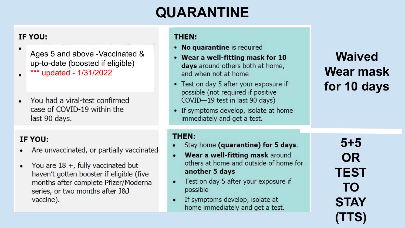### **QUARANTINE**

#### IF YOU:

- Ages 5 and above -Vaccinated & up-to-date (boosted if eligible) \*\*\* updated - 1/31/2022  $\bullet$
- You had a viral-test confirmed case of COVID-19 within the last 90 days.

#### **IF YOU:**

- Are unvaccinated, or partially vaccinated
- You are  $18 +$ , fully vaccinated but haven't gotten booster if eligible (five months after complete Pfizer/Moderna series, or two months after J&J vaccine).

#### **THEN:**

- No quarantine is required
- Wear a well-fitting mask for 10 days around others both at home, and when not at home
- Test on day 5 after your exposure if possible (not required if positive COVID-19 test in last 90 days)
- If symptoms develop, isolate at home immediately and get a test.

#### **Waived Wear mask** for 10 days

#### THEN:

- Stay home (quarantine) for 5 days.
- Wear a well-fitting mask around others at home and outside of home for another 5 days
- Test on day 5 after your exposure if possible
- If symptoms develop, isolate at  $\bullet$ home immediately and get a test.

 $5 + 5$ **OR TEST** TO **STAY**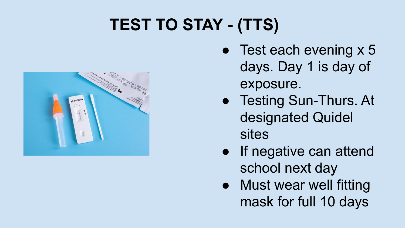# **TEST TO STAY - (TTS)**



- Test each evening x 5 days. Day 1 is day of exposure.
- Testing Sun-Thurs. At designated Quidel sites
- If negative can attend school next day
- Must wear well fitting mask for full 10 days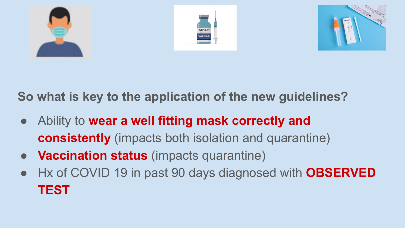

#### **So what is key to the application of the new guidelines?**

- Ability to **wear a well fitting mask correctly and consistently** (impacts both isolation and quarantine)
- **Vaccination status** (impacts quarantine)
- Hx of COVID 19 in past 90 days diagnosed with **OBSERVED TEST**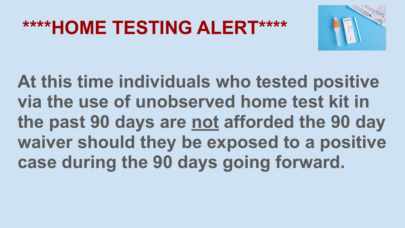# **\*\*\*\*HOME TESTING ALERT\*\*\*\***



**At this time individuals who tested positive via the use of unobserved home test kit in the past 90 days are not afforded the 90 day waiver should they be exposed to a positive case during the 90 days going forward.**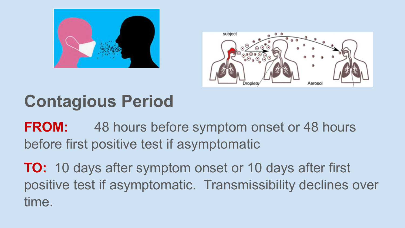



## **Contagious Period**

**FROM:** 48 hours before symptom onset or 48 hours before first positive test if asymptomatic

**TO:** 10 days after symptom onset or 10 days after first positive test if asymptomatic. Transmissibility declines over time.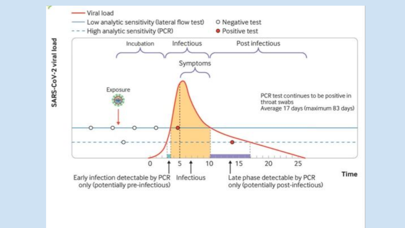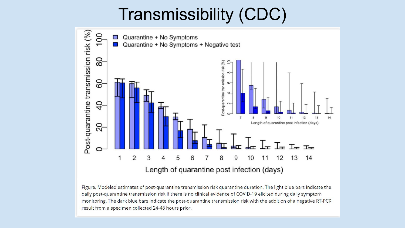### Transmissibility (CDC)



Figure. Modeled estimates of post-quarantine transmission risk quarantine duration. The light blue bars indicate the daily post-quarantine transmission risk if there is no clinical evidence of COVID-19 elicited during daily symptom monitoring. The dark blue bars indicate the post-quarantine transmission risk with the addition of a negative RT-PCR result from a specimen collected 24-48 hours prior.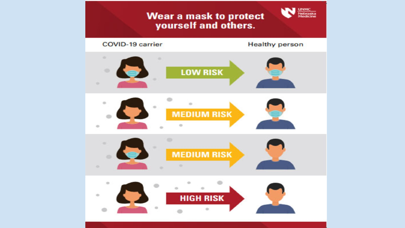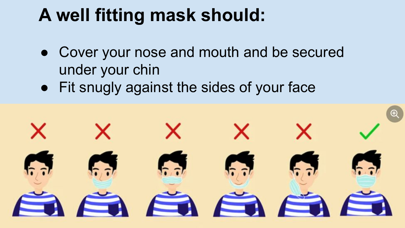# **A well fitting mask should:**

- Cover your nose and mouth and be secured under your chin
- Fit snugly against the sides of your face

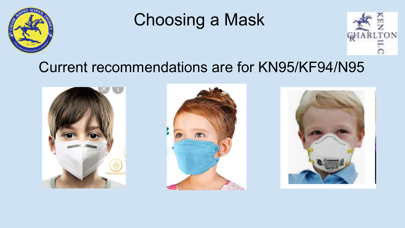

### Choosing a Mask



### Current recommendations are for KN95/KF94/N95





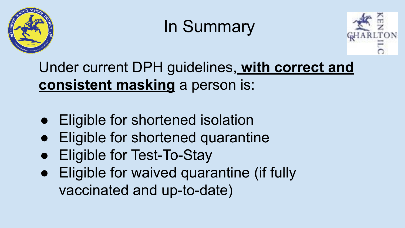

# In Summary



Under current DPH guidelines, **with correct and consistent masking** a person is:

- Eligible for shortened isolation
- Eligible for shortened quarantine
- **Eligible for Test-To-Stay**
- Eligible for waived quarantine (if fully vaccinated and up-to-date)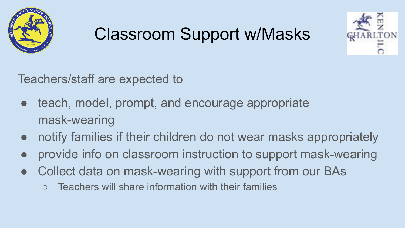

# Classroom Support w/Masks



Teachers/staff are expected to

- teach, model, prompt, and encourage appropriate mask-wearing
- notify families if their children do not wear masks appropriately
- provide info on classroom instruction to support mask-wearing
- Collect data on mask-wearing with support from our BAs
	- Teachers will share information with their families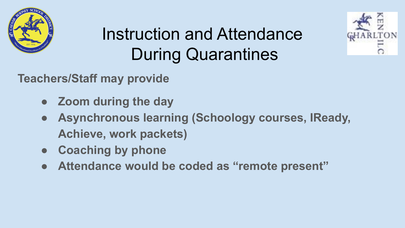

# Instruction and Attendance During Quarantines



**Teachers/Staff may provide**

- **● Zoom during the day**
- **● Asynchronous learning (Schoology courses, IReady, Achieve, work packets)**
- **● Coaching by phone**
- **● Attendance would be coded as "remote present"**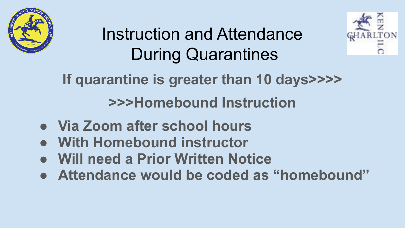

# Instruction and Attendance During Quarantines



- **● Via Zoom after school hours**
- **With Homebound instructor**
- **● Will need a Prior Written Notice**
- **● Attendance would be coded as "homebound"**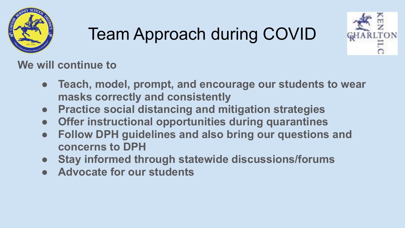

# Team Approach during COVID



#### **We will continue to**

- **● Teach, model, prompt, and encourage our students to wear masks correctly and consistently**
- **● Practice social distancing and mitigation strategies**
- **● Offer instructional opportunities during quarantines**
- **● Follow DPH guidelines and also bring our questions and concerns to DPH**
- **● Stay informed through statewide discussions/forums**
- **● Advocate for our students**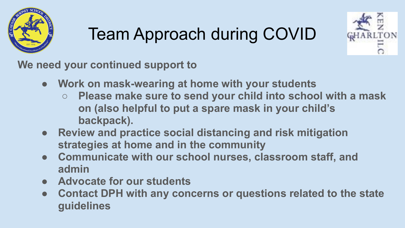

# Team Approach during COVID



**We need your continued support to**

- **● Work on mask-wearing at home with your students**
	- **○ Please make sure to send your child into school with a mask on (also helpful to put a spare mask in your child's backpack).**
- **● Review and practice social distancing and risk mitigation strategies at home and in the community**
- **● Communicate with our school nurses, classroom staff, and admin**
- **● Advocate for our students**
- **● Contact DPH with any concerns or questions related to the state guidelines**